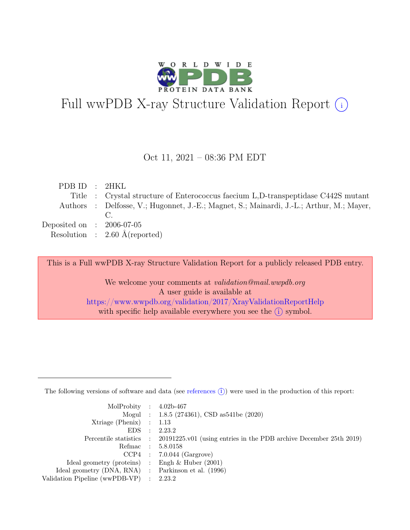

# Full wwPDB X-ray Structure Validation Report  $(i)$

#### Oct 11, 2021 – 08:36 PM EDT

| PDBID : 2HKL                |                                                                                          |
|-----------------------------|------------------------------------------------------------------------------------------|
|                             | Title : Crystal structure of Enterococcus faecium L.D-transpeptidase C442S mutant        |
|                             | Authors : Delfosse, V.; Hugonnet, J.-E.; Magnet, S.; Mainardi, J.-L.; Arthur, M.; Mayer, |
|                             |                                                                                          |
| Deposited on : $2006-07-05$ |                                                                                          |
|                             | Resolution : $2.60 \text{ Å}$ (reported)                                                 |
|                             |                                                                                          |

This is a Full wwPDB X-ray Structure Validation Report for a publicly released PDB entry.

We welcome your comments at validation@mail.wwpdb.org A user guide is available at <https://www.wwpdb.org/validation/2017/XrayValidationReportHelp> with specific help available everywhere you see the  $(i)$  symbol.

The following versions of software and data (see [references](https://www.wwpdb.org/validation/2017/XrayValidationReportHelp#references)  $(i)$ ) were used in the production of this report:

| MolProbity : $4.02b-467$                            |           |                                                                                            |
|-----------------------------------------------------|-----------|--------------------------------------------------------------------------------------------|
|                                                     |           | Mogul : 1.8.5 (274361), CSD as 541 be (2020)                                               |
| $Xtriangle (Phenix)$ : 1.13                         |           |                                                                                            |
| EDS                                                 | $\cdot$ : | 2.23.2                                                                                     |
|                                                     |           | Percentile statistics : 20191225.v01 (using entries in the PDB archive December 25th 2019) |
| Refmac : 5.8.0158                                   |           |                                                                                            |
|                                                     |           | $CCP4$ : 7.0.044 (Gargrove)                                                                |
| Ideal geometry (proteins) : Engh $\&$ Huber (2001)  |           |                                                                                            |
| Ideal geometry (DNA, RNA) : Parkinson et al. (1996) |           |                                                                                            |
| Validation Pipeline (wwPDB-VP) : 2.23.2             |           |                                                                                            |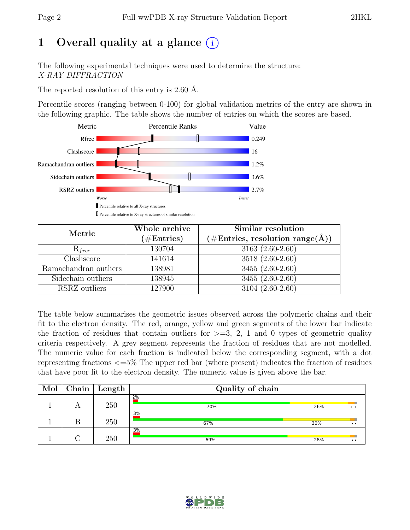# 1 Overall quality at a glance  $(i)$

The following experimental techniques were used to determine the structure: X-RAY DIFFRACTION

The reported resolution of this entry is 2.60 Å.

Percentile scores (ranging between 0-100) for global validation metrics of the entry are shown in the following graphic. The table shows the number of entries on which the scores are based.



| Metric                | Whole archive<br>$(\# \text{Entries})$ | Similar resolution<br>$(\# \text{Entries}, \text{ resolution } \text{range}(\AA))$ |  |  |
|-----------------------|----------------------------------------|------------------------------------------------------------------------------------|--|--|
| $R_{free}$            | 130704                                 | 3163 (2.60-2.60)                                                                   |  |  |
| Clashscore            | 141614                                 | 3518 (2.60-2.60)                                                                   |  |  |
| Ramachandran outliers | 138981                                 | $\overline{3455}$ $(2.60-2.60)$                                                    |  |  |
| Sidechain outliers    | 138945                                 | 3455 (2.60-2.60)                                                                   |  |  |
| RSRZ outliers         | 127900                                 | $3104(2.60-2.60)$                                                                  |  |  |

The table below summarises the geometric issues observed across the polymeric chains and their fit to the electron density. The red, orange, yellow and green segments of the lower bar indicate the fraction of residues that contain outliers for  $\geq$ =3, 2, 1 and 0 types of geometric quality criteria respectively. A grey segment represents the fraction of residues that are not modelled. The numeric value for each fraction is indicated below the corresponding segment, with a dot representing fractions <=5% The upper red bar (where present) indicates the fraction of residues that have poor fit to the electron density. The numeric value is given above the bar.

| Mol | Chain | Length | Quality of chain |     |                       |  |  |
|-----|-------|--------|------------------|-----|-----------------------|--|--|
|     |       | 250    | 2%<br>70%        | 26% | $\bullet\quad\bullet$ |  |  |
|     |       | 250    | 3%<br>67%        | 30% | $\bullet\bullet$      |  |  |
|     |       | 250    | 3%<br>69%        | 28% | ÷<br>$\bullet\bullet$ |  |  |

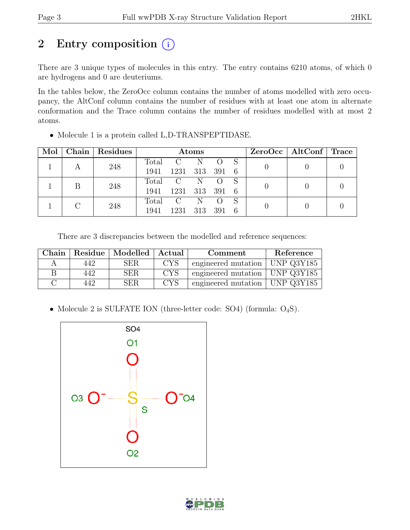# 2 Entry composition  $(i)$

There are 3 unique types of molecules in this entry. The entry contains 6210 atoms, of which 0 are hydrogens and 0 are deuteriums.

In the tables below, the ZeroOcc column contains the number of atoms modelled with zero occupancy, the AltConf column contains the number of residues with at least one atom in alternate conformation and the Trace column contains the number of residues modelled with at most 2 atoms.

| Mol |  | Chain   Residues | Atoms   |               |         |     | ZeroOcc   AltConf   Trace |  |  |
|-----|--|------------------|---------|---------------|---------|-----|---------------------------|--|--|
|     |  | 248              | Total   | $\mathbf{C}$  | -N      |     |                           |  |  |
|     |  |                  | 1941    | 1231          | 313 391 |     | - 6                       |  |  |
|     |  | 248              | Total C |               | -N      |     |                           |  |  |
|     |  |                  | 1941    | 1231          | 313     | 391 | 6                         |  |  |
|     |  | 248              | Total   | $\mathcal{C}$ | N       |     |                           |  |  |
|     |  | 1941             | 1231    | 313           | 391     | 6   |                           |  |  |

• Molecule 1 is a protein called L,D-TRANSPEPTIDASE.

There are 3 discrepancies between the modelled and reference sequences:

| Chain |     | Residue   Modelled   Actual |            | Comment                            | Reference          |
|-------|-----|-----------------------------|------------|------------------------------------|--------------------|
|       | 442 | <b>SER</b>                  | <b>CYS</b> | engineered mutation   UNP $Q3Y185$ |                    |
| В     | 442 | <b>SER</b>                  | <b>CYS</b> | engineered mutation   UNP $Q3Y185$ |                    |
|       | 442 | SER.                        | <b>CYS</b> | engineered mutation                | $\vert$ UNP Q3Y185 |

• Molecule 2 is SULFATE ION (three-letter code: SO4) (formula: O<sub>4</sub>S).



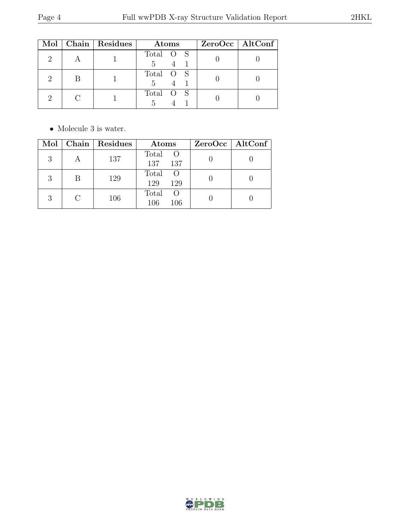|  | Mol   Chain   Residues | Atoms          | ZeroOcc   AltConf |
|--|------------------------|----------------|-------------------|
|  |                        | Total O S<br>5 |                   |
|  |                        | Total O S<br>5 |                   |
|  |                        | Total O S      |                   |

 $\bullet\,$  Molecule 3 is water.

| Mol |   | Chain   Residues | Atoms                                   | $ZeroOcc \mid AltConf \mid$ |
|-----|---|------------------|-----------------------------------------|-----------------------------|
| 3   |   | 137              | Total O<br>137<br>137                   |                             |
| 3   | В | 129              | Total<br>- ()<br>129<br>129             |                             |
|     |   | 106              | Total<br>$\left( \right)$<br>106<br>106 |                             |

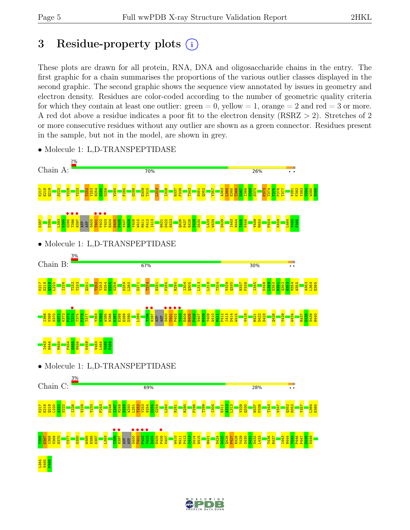# 3 Residue-property plots  $(i)$

These plots are drawn for all protein, RNA, DNA and oligosaccharide chains in the entry. The first graphic for a chain summarises the proportions of the various outlier classes displayed in the second graphic. The second graphic shows the sequence view annotated by issues in geometry and electron density. Residues are color-coded according to the number of geometric quality criteria for which they contain at least one outlier:  $green = 0$ , yellow  $= 1$ , orange  $= 2$  and red  $= 3$  or more. A red dot above a residue indicates a poor fit to the electron density (RSRZ > 2). Stretches of 2 or more consecutive residues without any outlier are shown as a green connector. Residues present in the sample, but not in the model, are shown in grey.



• Molecule 1: L,D-TRANSPEPTIDASE

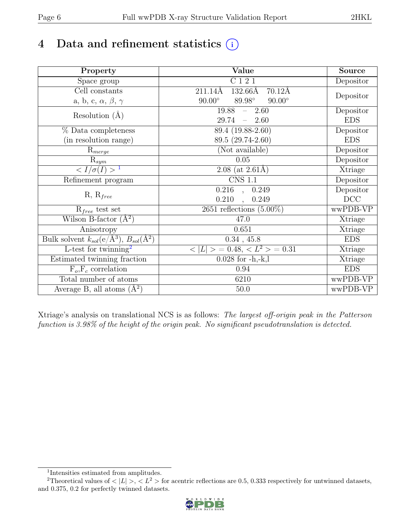# 4 Data and refinement statistics  $(i)$

| Property                                                             | Value                                                  | <b>Source</b> |
|----------------------------------------------------------------------|--------------------------------------------------------|---------------|
| Space group                                                          | C121                                                   | Depositor     |
| $\overline{\text{Cell}}$ constants                                   | $211.14\AA$<br>$132.66\text{\AA}$<br>$70.12\text{\AA}$ |               |
| a, b, c, $\alpha$ , $\beta$ , $\gamma$                               | 89.98°<br>$90.00^\circ$<br>$90.00^\circ$               | Depositor     |
| Resolution $(A)$                                                     | 19.88<br>$-2.60$                                       | Depositor     |
|                                                                      | 29.74<br>$-2.60$                                       | <b>EDS</b>    |
| % Data completeness                                                  | 89.4 (19.88-2.60)                                      | Depositor     |
| (in resolution range)                                                | 89.5 (29.74-2.60)                                      | <b>EDS</b>    |
| $R_{merge}$                                                          | (Not available)                                        | Depositor     |
| $\mathrm{R}_{sym}$                                                   | 0.05                                                   | Depositor     |
| $\langle I/\sigma(I) \rangle$ <sup>1</sup>                           | $2.08$ (at $2.61\text{\AA}$ )                          | Xtriage       |
| Refinement program                                                   | $\overline{\text{CNS} 1.1}$                            | Depositor     |
|                                                                      | $0.216$ ,<br>0.249                                     | Depositor     |
| $R, R_{free}$                                                        | 0.210<br>0.249<br>$\ddot{\phantom{a}}$                 | DCC           |
| $R_{free}$ test set                                                  | 2651 reflections $(5.00\%)$                            | wwPDB-VP      |
| Wilson B-factor $(A^2)$                                              | 47.0                                                   | Xtriage       |
| Anisotropy                                                           | 0.651                                                  | Xtriage       |
| Bulk solvent $k_{sol}(e/\mathring{A}^3)$ , $B_{sol}(\mathring{A}^2)$ | $0.34$ , 45.8                                          | <b>EDS</b>    |
| L-test for twinning <sup>2</sup>                                     | $< L >$ = 0.48, $< L^2 >$ = 0.31                       | Xtriage       |
| Estimated twinning fraction                                          | $0.028$ for $-h,-k,l$                                  | Xtriage       |
| $F_o, F_c$ correlation                                               | 0.94                                                   | <b>EDS</b>    |
| Total number of atoms                                                | 6210                                                   | wwPDB-VP      |
| Average B, all atoms $(A^2)$                                         | $50.0$                                                 | wwPDB-VP      |

Xtriage's analysis on translational NCS is as follows: The largest off-origin peak in the Patterson function is 3.98% of the height of the origin peak. No significant pseudotranslation is detected.

<sup>&</sup>lt;sup>2</sup>Theoretical values of  $\langle |L| \rangle$ ,  $\langle L^2 \rangle$  for acentric reflections are 0.5, 0.333 respectively for untwinned datasets, and 0.375, 0.2 for perfectly twinned datasets.



<span id="page-5-1"></span><span id="page-5-0"></span><sup>1</sup> Intensities estimated from amplitudes.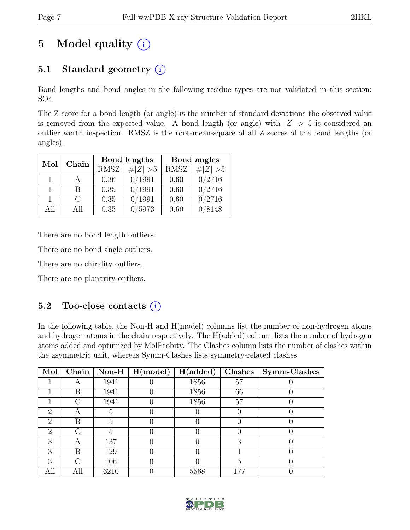# 5 Model quality  $(i)$

# 5.1 Standard geometry  $(i)$

Bond lengths and bond angles in the following residue types are not validated in this section: SO4

The Z score for a bond length (or angle) is the number of standard deviations the observed value is removed from the expected value. A bond length (or angle) with  $|Z| > 5$  is considered an outlier worth inspection. RMSZ is the root-mean-square of all Z scores of the bond lengths (or angles).

|     | Chain  |      | Bond lengths    | Bond angles |             |
|-----|--------|------|-----------------|-------------|-------------|
| Mol |        | RMSZ | # $ Z  > 5$     | <b>RMSZ</b> | # $ Z  > 5$ |
|     |        | 0.36 | 0/1991          | 0.60        | 0/2716      |
|     | R      | 0.35 | 0/1991          | 0.60        | 0/2716      |
|     | $\cap$ | 0.35 | $^{\prime}1991$ | 0.60        | 0/2716      |
| All | All    | 0.35 | 5973            | 0.60        | 8148        |

There are no bond length outliers.

There are no bond angle outliers.

There are no chirality outliers.

There are no planarity outliers.

# 5.2 Too-close contacts  $(i)$

In the following table, the Non-H and H(model) columns list the number of non-hydrogen atoms and hydrogen atoms in the chain respectively. The H(added) column lists the number of hydrogen atoms added and optimized by MolProbity. The Clashes column lists the number of clashes within the asymmetric unit, whereas Symm-Clashes lists symmetry-related clashes.

| Mol                         | Chain |      | Non-H $\mid$ H(model) | H(added) | Clashes | Symm-Clashes |
|-----------------------------|-------|------|-----------------------|----------|---------|--------------|
|                             |       | 1941 |                       | 1856     | 57      |              |
|                             | В     | 1941 |                       | 1856     | 66      |              |
|                             | C     | 1941 |                       | 1856     | 57      |              |
| $\mathcal{D}_{\mathcal{A}}$ |       | 5    |                       |          |         |              |
| $\mathcal{D}$               | В     | 5    |                       |          |         |              |
| $\mathcal{D}_{\mathcal{L}}$ | ( )   | 5    |                       |          |         |              |
| 3                           | Α     | 137  |                       |          | З       |              |
| 3                           | В     | 129  |                       |          |         |              |
| 3                           | ( )   | 106  |                       |          | .5      |              |
|                             | All   | 6210 |                       | 5568     | 177     |              |

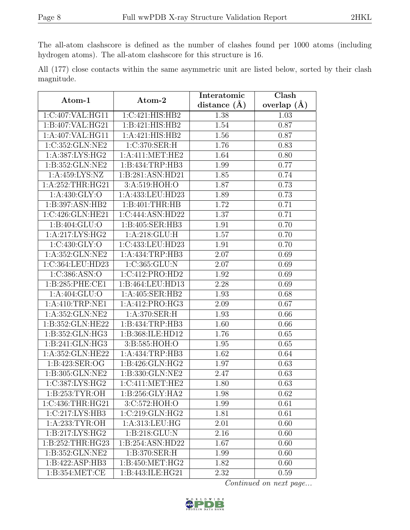The all-atom clashscore is defined as the number of clashes found per 1000 atoms (including hydrogen atoms). The all-atom clashscore for this structure is 16.

All (177) close contacts within the same asymmetric unit are listed below, sorted by their clash magnitude.

| Atom-1              | Atom-2                     | Interatomic      | Clash         |
|---------------------|----------------------------|------------------|---------------|
|                     |                            | distance $(\AA)$ | overlap $(A)$ |
| 1:C:407:VAL:HG11    | 1:C:421:HIS:HB2            | 1.38             | 1.03          |
| 1:B:407:VAL:HG21    | 1:B:421:HIS:HB2            | 1.54             | 0.87          |
| 1:A:407:VAL:HG11    | 1:A:421:HIS:HB2            | 1.56             | 0.87          |
| 1:C:352:GLN:NE2     | 1:C:370:SER:H              | 1.76             | 0.83          |
| 1: A: 387: LYS: HG2 | 1: A: 411: MET: HE2        | 1.64             | 0.80          |
| 1:B:352:GLN:NE2     | 1: B: 434: TRP: HB3        | 1.99             | 0.77          |
| 1:A:459:LYS:NZ      | 1:B:281:ASN:HD21           | 1.85             | 0.74          |
| 1:A:252:THR:HG21    | $3:A:\overline{519:HOH:O}$ | 1.87             | 0.73          |
| 1:A:430:GLY:O       | 1:A:433:LEU:HD23           | 1.89             | 0.73          |
| 1:B:397:ASN:HB2     | 1:B:401:THR:HB             | 1.72             | 0.71          |
| 1:C:426:GLN:HE21    | 1:C:444:ASN:HD22           | 1.37             | 0.71          |
| 1: B: 404: GLU:O    | 1:B:405:SER:HB3            | 1.91             | 0.70          |
| 1:A:217:LYS:HG2     | 1: A:218: GLU: H           | 1.57             | 0.70          |
| 1:C:430:GLY:O       | 1:C:433:LEU:HD23           | 1.91             | 0.70          |
| 1:A:352:GLN:NE2     | 1:A:434:TRP:HB3            | 2.07             | 0.69          |
| 1:C:364:LEU:HD23    | 1:C:365:GLU:N              | 2.07             | 0.69          |
| 1:C:386:ASN:O       | 1:C:412:PRO:HD2            | 1.92             | 0.69          |
| 1:B:285:PHE:CE1     | 1:B:464:LEU:HD13           | 2.28             | 0.69          |
| 1: A:404: GLU:O     | 1:A:405:SER:HB2            | 1.93             | 0.68          |
| 1: A:410:TRP:NE1    | 1:A:412:PRO:HG3            | 2.09             | 0.67          |
| 1:A:352:GLN:NE2     | 1:A:370:SER:H              | 1.93             | 0.66          |
| 1:B:352:GLN:HE22    | 1:B:434:TRP:HB3            | 1.60             | 0.66          |
| 1:B:352:GLN:HG3     | 1:B:368:ILE:HD12           | 1.76             | 0.65          |
| 1:B:241:GLN:HG3     | 3:B:585:HOH:O              | 1.95             | 0.65          |
| 1:A:352:GLN:HE22    | 1:A:434:TRP:HB3            | 1.62             | 0.64          |
| 1: B:423: SER: OG   | 1:B:426:GLN:HG2            | 1.97             | 0.63          |
| 1:B:305:GLN:NE2     | 1:B:330:GLN:NE2            | 2.47             | 0.63          |
| 1:C:387:LYS:HG2     | 1:C:411:MET:HE2            | 1.80             | 0.63          |
| 1: B: 253: TYR: OH  | 1:B:256:GLY:HA2            | 1.98             | 0.62          |
| 1:C:436:THR:HG21    | 3:C:572:HOH:O              | 1.99             | 0.61          |
| 1:C:217:LYS:HB3     | 1:C:219:GLN:HG2            | 1.81             | 0.61          |
| 1:A:233:TYR:OH      | 1: A: 313: LEU: HG         | 2.01             | 0.60          |
| 1: B: 217: LYS: HG2 | 1:B:218:GLU:N              | 2.16             | 0.60          |
| 1:B:252:THR:HG23    | 1:B:254:ASN:HD22           | 1.67             | 0.60          |
| 1:B:352:GLN:NE2     | 1:B:370:SER:H              | 1.99             | 0.60          |
| 1:B:422:ASP:HB3     | 1:B:450:MET:HG2            | 1.82             | 0.60          |
| 1: B: 354: MET: CE  | 1:B:443:ILE:HG21           | 2.32             | 0.59          |

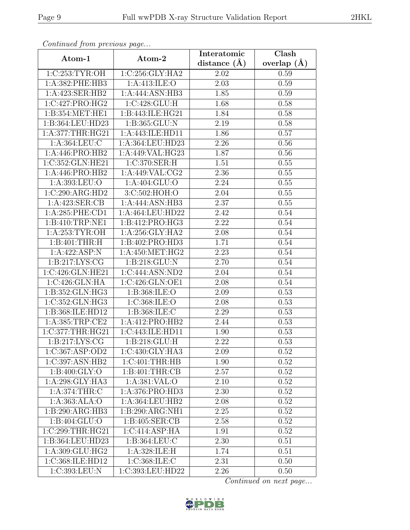| Continuea from previous page |                   | Interatomic       | Clash           |  |
|------------------------------|-------------------|-------------------|-----------------|--|
| Atom-1                       | Atom-2            | distance $(A)$    | overlap $(\AA)$ |  |
| 1:C:253:TYR:OH               | 1:C:256:GLY:HA2   | 2.02              | 0.59            |  |
| 1:A:382:PHE:HB3              | 1:A:413:ILE:O     | $\overline{2.03}$ | 0.59            |  |
| 1:A:423:SER:HB2              | 1:A:444:ASN:HB3   | 1.85              | 0.59            |  |
| 1:C:427:PRO:HG2              | 1:C:428:GLU:H     | 1.68              | 0.58            |  |
| 1:B:354:MET:HE1              | 1:B:443:ILE:HG21  | 1.84              | 0.58            |  |
| 1:B:364:LEU:HD23             | 1:B:365:GLU:N     | 2.19              | 0.58            |  |
| 1:A:377:THR:HG21             | 1:A:443:ILE:HD11  | 1.86              | 0.57            |  |
| 1:A:364:LEU:C                | 1:A:364:LEU:HD23  | 2.26              | 0.56            |  |
| 1:A:446:PRO:HB2              | 1:A:449:VAL:HG23  | 1.87              | 0.56            |  |
| 1:C:352:GLN:HE21             | 1:C:370:SER:H     | 1.51              | 0.55            |  |
| 1:A:446:PRO:HB2              | 1:A:449:VAL:CG2   | 2.36              | 0.55            |  |
| 1:A:393:LEU:O                | 1: A:404: GLU:O   | 2.24              | 0.55            |  |
| 1:C:290:ARG:HD2              | 3:C:502:HOH:O     | 2.04              | 0.55            |  |
| 1:A:423:SER:CB               | 1:A:444:ASN:HB3   | 2.37              | 0.55            |  |
| 1: A:285: PHE:CD1            | 1:A:464:LEU:HD22  | 2.42              | 0.54            |  |
| 1:B:410:TRP:NE1              | 1:B:412:PRO:HG3   | 2.22              | 0.54            |  |
| 1: A:253: TYR:OH             | 1: A:256: GLY:HA2 | 2.08              | 0.54            |  |
| $1:B:401:THR:\overline{H}$   | 1:B:402:PRO:HD3   | 1.71              | 0.54            |  |
| 1:A:422:ASP:N                | 1:A:450:MET:HG2   | 2.23              | 0.54            |  |
| 1: B: 217: LYS: CG           | 1:B:218:GLU:N     | 2.70              | 0.54            |  |
| 1:C:426:GLN:HE21             | 1:C:444:ASN:ND2   | 2.04              | 0.54            |  |
| 1:C:426:GLN:HA               | 1:C:426:GLN:OE1   | 2.08              | 0.54            |  |
| 1:B:352:GLN:HG3              | 1:B:368:ILE:O     | 2.09              | 0.53            |  |
| 1:C:352:GLN:HG3              | 1:C:368:ILE:O     | 2.08              | 0.53            |  |
| 1:B:368:ILE:HD12             | 1:B:368:ILE:C     | 2.29              | 0.53            |  |
| 1:A:385:TRP:CE2              | 1:A:412:PRO:HB2   | 2.44              | 0.53            |  |
| 1:C:377:THR:HG21             | 1:C:443:ILE:HD11  | 1.90              | 0.53            |  |
| 1:B:217:LYS:CG               | 1:B:218:GLU:H     | 2.22              | 0.53            |  |
| 1:C:367:ASP:OD2              | 1:C:430:GLY:HA3   | 2.09              | 0.52            |  |
| 1:C:397:ASN:HB2              | 1:C:401:THR:HB    | 1.90              | 0.52            |  |
| 1: B:400: GLY:O              | 1:B:401:THR:CB    | 2.57              | 0.52            |  |
| 1:A:298:GLY:HA3              | 1: A: 381: VAL: O | 2.10              | 0.52            |  |
| 1:A:374:THR:C                | 1:A:376:PRO:HD3   | 2.30              | 0.52            |  |
| 1:A:363:ALA:O                | 1:A:364:LEU:HB2   | 2.08              | 0.52            |  |
| 1:B:290:ARG:HB3              | 1:B:290:ARG:NH1   | 2.25              | 0.52            |  |
| 1:B:404:GLU:O                | 1: B:405: SER:CB  | 2.58              | 0.52            |  |
| 1:C:299:THR:HG21             | 1:C:414:ASP:HA    | 1.91              | 0.52            |  |
| 1:B:364:LEU:HD23             | 1:B:364:LEU:C     | 2.30              | 0.51            |  |
| 1:A:309:GLU:HG2              | 1:A:328:ILE:H     | 1.74              | 0.51            |  |
| 1:C:368:ILE:HD12             | 1:C:368:ILE:C     | 2.31              | 0.50            |  |
| 1:C:393:LEU:N                | 1:C:393:LEU:HD22  | 2.26              | 0.50            |  |

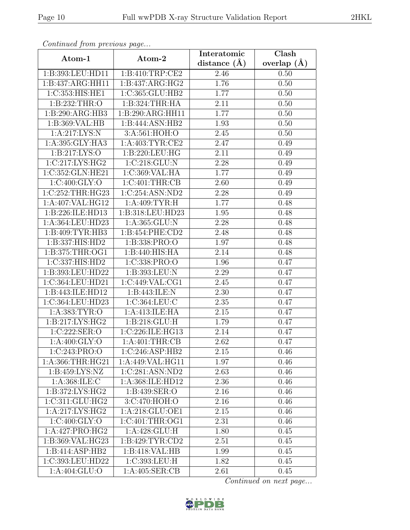| Continued from previous page |                                        | Interatomic    | Clash         |  |
|------------------------------|----------------------------------------|----------------|---------------|--|
| Atom-1                       | Atom-2                                 | distance $(A)$ | overlap $(A)$ |  |
| 1:B:393:LEU:HD11             | 1:B:410:TRP:CE2                        | 2.46           | 0.50          |  |
| 1:B:437:ARG:HH11             | 1:B:437:ARG:HG2                        | 1.76           | 0.50          |  |
| 1:C:353:HIS:HE1              | 1:C:365:GLU:HB2                        | 1.77           | 0.50          |  |
| 1:B:232:THR:O                | 1:B:324:THR:HA                         | 2.11           | 0.50          |  |
| 1:B:290:ARG:HB3              | 1:B:290:ARG:HH11                       | 1.77           | 0.50          |  |
| 1:B:369:VAL:HB               | 1:B:444:ASN:HB2                        | 1.93           | 0.50          |  |
| 1: A:217:LYS:N               | 3:A:561:HOH:O                          | 2.45           | 0.50          |  |
| 1:A:395:GLY:HA3              | $1: A:403: TYR: \overline{\text{CE2}}$ | 2.47           | 0.49          |  |
| 1:B:217:LYS:O                | 1:B:220:LEU:HG                         | 2.11           | 0.49          |  |
| 1:C:217:LYS:HG2              | 1:C:218:GLU:N                          | 2.28           | 0.49          |  |
| 1:C:352:GLN:HE21             | 1:C:369:VAL:HA                         | 1.77           | 0.49          |  |
| 1:C:400:GLY:O                | 1:C:401:THR:CB                         | 2.60           | 0.49          |  |
| 1:C:252:THR:HG23             | 1:C:254:ASN:ND2                        | 2.28           | 0.49          |  |
| 1:A:407:VAL:HG12             | 1: A:409: TYR:H                        | 1.77           | 0.48          |  |
| 1:B:226:ILE:HD13             | 1:B:318:LEU:HD23                       | 1.95           | 0.48          |  |
| 1:A:364:LEU:HD23             | 1:A:365:GLU:N                          | 2.28           | 0.48          |  |
| 1:B:409:TYR:HB3              | 1:B:454:PHE:CD2                        | 2.48           | 0.48          |  |
| 1:B:337:HIS:HD2              | 1:B:338:PRO:O                          | 1.97           | 0.48          |  |
| 1:B:375:THR:OG1              | 1:B:440:HIS:HA                         | 2.14           | 0.48          |  |
| 1:C:337:HIS:HD2              | 1:C:338:PRO:O                          | 1.96           | 0.47          |  |
| 1:B:393:LEU:HD22             | 1:B:393:LEU:N                          | 2.29           | 0.47          |  |
| 1:C:364:LEU:HD21             | 1:C:449:VAL:CG1                        | 2.45           | 0.47          |  |
| 1:B:443:ILE:HD12             | 1:B:443:ILE:N                          | 2.30           | 0.47          |  |
| 1:C:364:LEU:HD23             | 1:C:364:LEU:C                          | 2.35           | 0.47          |  |
| 1:A:383:TYR:O                | 1:A:413:ILE:HA                         | 2.15           | 0.47          |  |
| 1: B: 217: LYS: HG2          | 1:B:218:GLU:H                          | 1.79           | 0.47          |  |
| 1:C:222:SER:O                | 1:C:226:ILE:HG13                       | 2.14           | 0.47          |  |
| 1: A:400: GLY:O              | 1: A:401:THR:CB                        | 2.62           | 0.47          |  |
| 1:C:243:PRO:O                | 1:C:246:ASP:HB2                        | 2.15           | 0.46          |  |
| 1: A: 366: THR: HG21         | 1:A:449:VAL:HG11                       | 1.97           | 0.46          |  |
| 1:B:459:LYS:NZ               | 1:C:281:ASN:ND2                        | 2.63           | 0.46          |  |
| 1:A:368:ILE:C                | 1:A:368:ILE:HD12                       | 2.36           | 0.46          |  |
| $1: B:372: LYS: HG2$         | 1:B:439:SER:O                          | 2.16           | 0.46          |  |
| 1:C:311:GLU:HG2              | 3:C:470:HOH:O                          | 2.16           | 0.46          |  |
| 1:A:217:LYS:HG2              | 1:A:218:GLU:OE1                        | 2.15           | 0.46          |  |
| $1:\overline{C:400:GLY:O}$   | 1:C:401:THR:OG1                        | 2.31           | 0.46          |  |
| 1:A:427:PRO:HG2              | 1:A:428:GLU:H                          | 1.80           | 0.45          |  |
| 1:B:369:VAL:HG23             | 1:B:429:TYR:CD2                        | 2.51           | 0.45          |  |
| 1:B:414:ASP:HB2              | 1:B:418:VAL:HB                         | 1.99           | 0.45          |  |
| 1:C:393:LEU:HD22             | 1:C:393:LEU:H                          | 1.82           | 0.45          |  |
| 1:A:404:GLU:O                | 1:A:405:SER:CB                         | 2.61           | 0.45          |  |

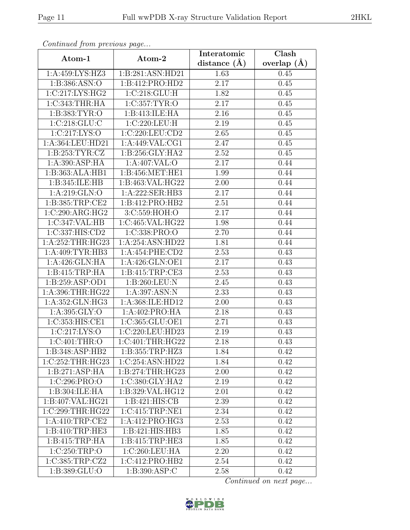| Continuea from previous page |                    | Interatomic       | $\overline{\text{Clash}}$ |
|------------------------------|--------------------|-------------------|---------------------------|
| Atom-1                       | Atom-2             | distance $(\AA)$  | overlap $(A)$             |
| 1:A:459:LYS:HZ3              | 1:B:281:ASN:HD21   | 1.63              | 0.45                      |
| 1:B:386:ASN:O                | 1:B:412:PRO:HD2    | 2.17              | 0.45                      |
| 1:C:217:LYS:HG2              | 1:C:218:GLU:H      | 1.82              | 0.45                      |
| 1:C:343:THR:HA               | 1:C:357:TYR:O      | 2.17              | 0.45                      |
| 1:B:383:TYR:O                | 1:B:413:ILE:HA     | 2.16              | 0.45                      |
| 1:C:218:GLU:C                | 1:C:220:LEU:H      | 2.19              | 0.45                      |
| 1:C:217:LYS:O                | 1:C:220:LEU:CD2    | $\overline{2.65}$ | 0.45                      |
| 1:A:364:LEU:HD21             | 1: A:449: VAL:CG1  | 2.47              | 0.45                      |
| 1: B: 253: TYR: CZ           | 1:B:256:GLY:HA2    | $\overline{2}.52$ | 0.45                      |
| 1:A:390:ASP:HA               | 1:A:407:VAL:O      | 2.17              | 0.44                      |
| 1:B:363:ALA:HB1              | 1:B:456:MET:HE1    | 1.99              | 0.44                      |
| 1:B:345:ILE:HB               | 1:B:463:VAL:HG22   | 2.00              | 0.44                      |
| 1:A:219:GLN:O                | 1:A:222:SER:HB3    | 2.17              | 0.44                      |
| 1:B:385:TRP:CE2              | 1:B:412:PRO:HB2    | 2.51              | 0.44                      |
| 1:C:290:ARG:HG2              | 3:C:559:HOH:O      | 2.17              | 0.44                      |
| 1:C:347:VAL:HB               | 1:C:465:VAL:HG22   | 1.98              | 0.44                      |
| 1:C:337:HIS:CD2              | 1:C:338:PRO:O      | 2.70              | 0.44                      |
| 1:A:252:THR:HG23             | 1:A:254:ASN:HD22   | 1.81              | 0.44                      |
| 1:A:409:TYR:HB3              | 1:A:454:PHE:CD2    | 2.53              | 0.43                      |
| 1:A:426:GLN:HA               | 1: A:426: GLN: OE1 | 2.17              | 0.43                      |
| 1:B:415:TRP:HA               | 1:B:415:TRP:CE3    | 2.53              | 0.43                      |
| 1:B:259:ASP:OD1              | 1:B:260:LEU:N      | 2.45              | 0.43                      |
| 1:A:396:THR:HG22             | 1:A:397:ASN:N      | 2.33              | 0.43                      |
| 1:A:352:GLN:HG3              | 1:A:368:ILE:HD12   | 2.00              | 0.43                      |
| 1: A:395: GLY:O              | 1:A:402:PRO:HA     | 2.18              | 0.43                      |
| 1:C:353:HIS:CE1              | 1:C:365:GLU:OE1    | 2.71              | 0.43                      |
| 1:C:217:LYS:O                | 1:C:220:LEU:HD23   | 2.19              | 0.43                      |
| 1:C:401:THR:O                | 1:C:401:THR:HG22   | 2.18              | 0.43                      |
| 1:B:348:ASP:HB2              | 1:B:355:TRP:HZ3    | 1.84              | 0.42                      |
| 1:C:252:THR:HG23             | 1:C:254:ASN:HD22   | 1.84              | 0.42                      |
| 1:B:271:ASP:HA               | 1: B:274:THR:HG23  | 2.00              | 0.42                      |
| 1:C:296:PRO:O                | 1:C:380:GLY:HA2    | 2.19              | 0.42                      |
| 1:B:304:ILE:HA               | 1:B:329:VAL:HG12   | 2.01              | 0.42                      |
| 1:B:407:VAL:HG21             | 1:B:421:HIS:CB     | 2.39              | 0.42                      |
| 1:C:299:THR:HG22             | 1:C:415:TRP:NE1    | 2.34              | 0.42                      |
| 1:A:410:TRP:CE2              | 1:A:412:PRO:HG3    | 2.53              | 0.42                      |
| 1:B:410:TRP:HE3              | 1:B:421:HIS:HB3    | 1.85              | 0.42                      |
| 1:B:415:TRP:HA               | 1:B:415:TRP:HE3    | 1.85              | 0.42                      |
| 1:C:250:TRP:O                | 1:C:260:LEU:HA     | 2.20              | 0.42                      |
| 1:C:385:TRP:CZ2              | 1:C:412:PRO:HB2    | 2.54              | 0.42                      |
| 1:B:389:GLU:O                | 1:B:390:ASP:C      | 2.58              | 0.42                      |

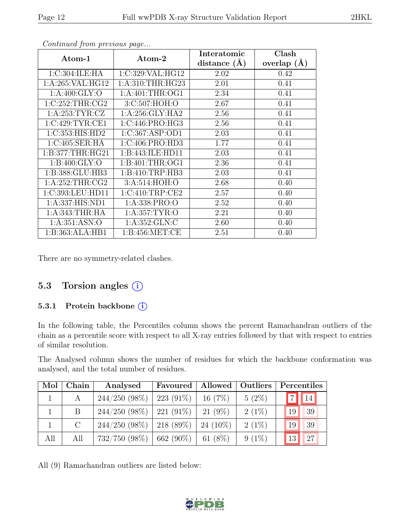| Atom-1            | Atom-2            | Interatomic<br>distance $(\AA)$ | Clash<br>overlap $(\AA)$ |
|-------------------|-------------------|---------------------------------|--------------------------|
| 1:C:304:ILE:HA    | 1:C:329:VAL:HG12  | 2.02                            | 0.42                     |
| 1:A:265:VAL:HG12  | 1: A:310:THR:HG23 | 2.01                            | 0.41                     |
| 1: A:400: GLY:O   | 1: A:401:THR:OG1  | 2.34                            | 0.41                     |
| 1:C:252:THR:CG2   | 3:C:507:HOH:O     | 2.67                            | 0.41                     |
| 1: A:253: TYR: CZ | 1: A:256: GLY:HA2 | 2.56                            | 0.41                     |
| 1:C:429:TYR:CE1   | 1:C:446:PRO:HG3   | 2.56                            | 0.41                     |
| 1:C:353:HIS:HD2   | 1:C:367:ASP:OD1   | 2.03                            | 0.41                     |
| 1:C:405:SER:HA    | 1:C:406:PRO:HD3   | 1.77                            | 0.41                     |
| 1:B:377:THR:HG21  | 1:B:443:ILE:HD11  | 2.03                            | 0.41                     |
| 1: B:400: GLY:O   | 1: B:401:THR:OG1  | 2.36                            | 0.41                     |
| 1:B:388:GLU:HB3   | 1: B:410:TRP:HB3  | 2.03                            | 0.41                     |
| 1: A:252:THR:CG2  | 3:A:514:HOH:O     | 2.68                            | 0.40                     |
| 1:C:393:LEU:HD11  | 1:C:410:TRP:CE2   | 2.57                            | 0.40                     |
| 1:A:337:HIS:ND1   | 1:A:338:PRO:O     | 2.52                            | 0.40                     |
| 1: A:343:THR:HA   | 1: A: 357: TYR: O | 2.21                            | 0.40                     |
| 1: A:351: ASN:O   | 1: A: 352: GLN: C | 2.60                            | 0.40                     |
| 1:B:363:ALA:HB1   | 1:B:456:MET:CE    | 2.51                            | 0.40                     |

There are no symmetry-related clashes.

### 5.3 Torsion angles (i)

#### 5.3.1 Protein backbone ①

In the following table, the Percentiles column shows the percent Ramachandran outliers of the chain as a percentile score with respect to all X-ray entries followed by that with respect to entries of similar resolution.

The Analysed column shows the number of residues for which the backbone conformation was analysed, and the total number of residues.

| Mol | Chain         | Analysed                               | Favoured   | Allowed   Outliers |          | Percentiles |
|-----|---------------|----------------------------------------|------------|--------------------|----------|-------------|
|     | A             | $244/250(98\%)$                        | 223 (91\%) | 16(7%)             | $5(2\%)$ | 14          |
|     | B             | $244/250$ (98%)   221 (91%)            |            | 21 (9%)            | $2(1\%)$ | 39<br>19    |
|     | $\mathcal{C}$ | $244/250$ (98%)   218 (89%)   24 (10%) |            |                    | $2(1\%)$ | 19<br>39    |
| All | All           | $732/750$ (98%)   662 (90%)            |            | 61 $(8\%)$         | $9(1\%)$ | 27<br>13    |

All (9) Ramachandran outliers are listed below:

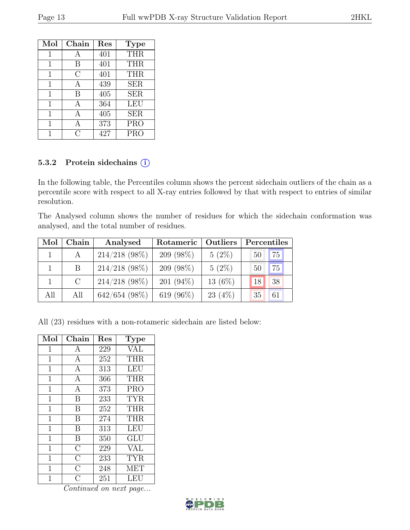| Mol | $Chain$ | Res | <b>Type</b> |
|-----|---------|-----|-------------|
| 1   | А       | 401 | <b>THR</b>  |
| 1   | В       | 401 | <b>THR</b>  |
| 1   | С       | 401 | <b>THR</b>  |
| 1   | А       | 439 | <b>SER</b>  |
| 1   | В       | 405 | <b>SER</b>  |
| 1   | А       | 364 | <b>LEU</b>  |
| 1   | А       | 405 | <b>SER</b>  |
| 1   | А       | 373 | <b>PRO</b>  |
|     | ( )     | 427 | <b>PRO</b>  |

#### 5.3.2 Protein sidechains (i)

In the following table, the Percentiles column shows the percent sidechain outliers of the chain as a percentile score with respect to all X-ray entries followed by that with respect to entries of similar resolution.

The Analysed column shows the number of residues for which the sidechain conformation was analysed, and the total number of residues.

| Mol | Chain | Analysed        | Rotameric    | Outliers  | Percentiles |    |
|-----|-------|-----------------|--------------|-----------|-------------|----|
|     | A     | $214/218$ (98%) | $209(98\%)$  | $5(2\%)$  | 50          | 75 |
|     | B     | $214/218$ (98%) | $209(98\%)$  | $5(2\%)$  | 50          | 75 |
|     | C     | $214/218$ (98%) | $201 (94\%)$ | $13(6\%)$ | 18          | 38 |
| All | All   | $642/654$ (98%) | 619 $(96\%)$ | 23(4%)    | 35          | 61 |

All (23) residues with a non-rotameric sidechain are listed below:

| Mol            | Chain              | Res | <b>Type</b> |
|----------------|--------------------|-----|-------------|
| 1              | A                  | 229 | VAL         |
| $\mathbf 1$    | $\mathbf{A}$       | 252 | <b>THR</b>  |
| 1              | $\boldsymbol{A}$   | 313 | <b>LEU</b>  |
| $\mathbf 1$    | $\overline{A}$     | 366 | <b>THR</b>  |
| $\mathbf{1}$   | $\boldsymbol{A}$   | 373 | <b>PRO</b>  |
| $\mathbf 1$    | B                  | 233 | <b>TYR</b>  |
| $\mathbf 1$    | B                  | 252 | <b>THR</b>  |
| $\mathbf 1$    | B                  | 274 | <b>THR</b>  |
| $\mathbf 1$    | B                  | 313 | LEU         |
| $\overline{1}$ | B                  | 350 | GLU         |
| $\mathbf{1}$   | $\overline{C}$     | 229 | <b>VAL</b>  |
| $\mathbf 1$    | $\overline{\rm C}$ | 233 | <b>TYR</b>  |
| 1              | $\overline{\rm C}$ | 248 | MET         |
| 1              | $\overline{C}$     | 251 | LEU         |

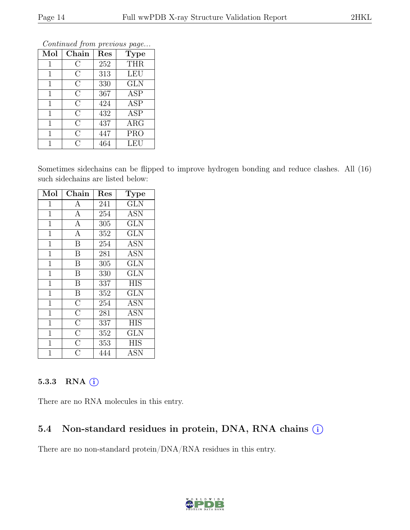| Contentaca from previous page |                |     |                         |  |  |  |  |
|-------------------------------|----------------|-----|-------------------------|--|--|--|--|
| Mol                           | Chain          | Res | <b>Type</b>             |  |  |  |  |
| 1                             | С              | 252 | <b>THR</b>              |  |  |  |  |
| 1                             | $\rm C$        | 313 | <b>LEU</b>              |  |  |  |  |
| $\mathbf{1}$                  | $\rm C$        | 330 | <b>GLN</b>              |  |  |  |  |
| $\mathbf{1}$                  | $\overline{C}$ | 367 | <b>ASP</b>              |  |  |  |  |
| $\mathbf{1}$                  | $\overline{C}$ | 424 | $\overline{\text{ASP}}$ |  |  |  |  |
| $\mathbf{1}$                  | $\overline{C}$ | 432 | <b>ASP</b>              |  |  |  |  |
| 1                             | $\overline{C}$ | 437 | <b>ARG</b>              |  |  |  |  |
| 1                             | $\rm C$        | 447 | <b>PRO</b>              |  |  |  |  |
| 1                             | C              | 464 | LEU                     |  |  |  |  |

Sometimes sidechains can be flipped to improve hydrogen bonding and reduce clashes. All (16) such sidechains are listed below:

| Mol            | Chain                   | Res | Type                    |
|----------------|-------------------------|-----|-------------------------|
| 1              | A                       | 241 | <b>GLN</b>              |
| $\mathbf{1}$   | $\overline{A}$          | 254 | <b>ASN</b>              |
| $\mathbf{1}$   | $\overline{A}$          | 305 | <b>GLN</b>              |
| $\mathbf{1}$   | $\overline{A}$          | 352 | <b>GLN</b>              |
| $\mathbf{1}$   | $\overline{\mathrm{B}}$ | 254 | <b>ASN</b>              |
| $\mathbf{1}$   | $\overline{B}$          | 281 | <b>ASN</b>              |
| $\mathbf{1}$   | $\overline{\mathbf{B}}$ | 305 | GLN                     |
| $\mathbf{1}$   | $\overline{B}$          | 330 | <b>GLN</b>              |
| $\mathbf{1}$   | $\boldsymbol{B}$        | 337 | <b>HIS</b>              |
| $\overline{1}$ | $\overline{B}$          | 352 | $\overline{\text{GLN}}$ |
| $\mathbf 1$    | $\overline{\rm C}$      | 254 | <b>ASN</b>              |
| $\mathbf{1}$   | $\overline{\rm C}$      | 281 | <b>ASN</b>              |
| $\mathbf{1}$   | $\overline{C}$          | 337 | <b>HIS</b>              |
| $\mathbf{1}$   | $\overline{\rm C}$      | 352 | <b>GLN</b>              |
| $\overline{1}$ | $\overline{C}$          | 353 | <b>HIS</b>              |
| 1              | $\overline{\rm C}$      | 444 | ASN                     |

#### 5.3.3 RNA  $(i)$

There are no RNA molecules in this entry.

# 5.4 Non-standard residues in protein, DNA, RNA chains (i)

There are no non-standard protein/DNA/RNA residues in this entry.

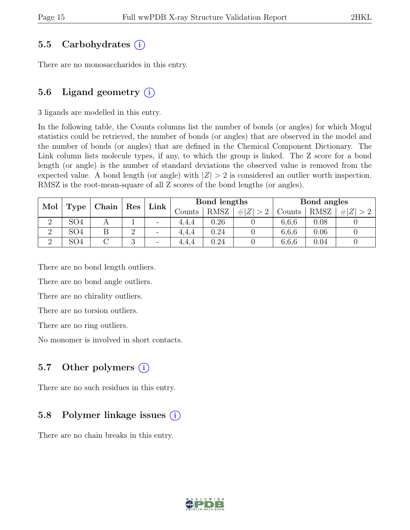### 5.5 Carbohydrates (i)

There are no monosaccharides in this entry.

### 5.6 Ligand geometry  $(i)$

3 ligands are modelled in this entry.

In the following table, the Counts columns list the number of bonds (or angles) for which Mogul statistics could be retrieved, the number of bonds (or angles) that are observed in the model and the number of bonds (or angles) that are defined in the Chemical Component Dictionary. The Link column lists molecule types, if any, to which the group is linked. The Z score for a bond length (or angle) is the number of standard deviations the observed value is removed from the expected value. A bond length (or angle) with  $|Z| > 2$  is considered an outlier worth inspection. RMSZ is the root-mean-square of all Z scores of the bond lengths (or angles).

| Mol      | Chain<br>Res    |  |   | Bond lengths<br>$\ln k$  |       | Bond angles |        |             |            |        |             |     |
|----------|-----------------|--|---|--------------------------|-------|-------------|--------|-------------|------------|--------|-------------|-----|
|          | Type            |  |   |                          |       |             | Counts | <b>RMSZ</b> | H Z <br>>2 | Counts | <b>RMSZ</b> | # Z |
|          | SO <sub>4</sub> |  |   | $\overline{\phantom{a}}$ | 4.4.4 | $0.26\,$    |        | 6,6,6       | 0.08       |        |             |     |
| $\Omega$ | SO <sub>4</sub> |  |   | $\qquad \qquad -$        | 4.4.4 | 0.24        |        | 6,6,6       | 0.06       |        |             |     |
| $\Omega$ | SO4             |  | ಲ | $\overline{\phantom{0}}$ | 4.4.4 | $0.24\,$    |        | 6,6,6       | 0.04       |        |             |     |

There are no bond length outliers.

There are no bond angle outliers.

There are no chirality outliers.

There are no torsion outliers.

There are no ring outliers.

No monomer is involved in short contacts.

# 5.7 Other polymers  $(i)$

There are no such residues in this entry.

# 5.8 Polymer linkage issues (i)

There are no chain breaks in this entry.

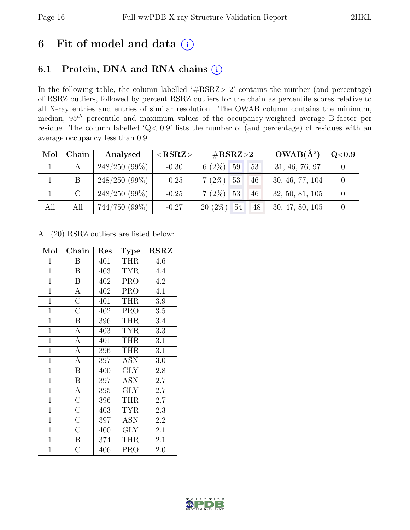# 6 Fit of model and data  $(i)$

# 6.1 Protein, DNA and RNA chains (i)

In the following table, the column labelled ' $\#\text{RSRZ}>2$ ' contains the number (and percentage) of RSRZ outliers, followed by percent RSRZ outliers for the chain as percentile scores relative to all X-ray entries and entries of similar resolution. The OWAB column contains the minimum, median,  $95<sup>th</sup>$  percentile and maximum values of the occupancy-weighted average B-factor per residue. The column labelled 'Q< 0.9' lists the number of (and percentage) of residues with an average occupancy less than 0.9.

| Mol | Chain   | Analysed        | ${ <\hspace{-1.5pt}{\mathrm{RSRZ}} \hspace{-1.5pt}>}$ | $\rm \#RSRZ{>}2$                   | $OWAB(A^2)$     | $\rm Q\textless0.9$ |
|-----|---------|-----------------|-------------------------------------------------------|------------------------------------|-----------------|---------------------|
|     |         | $248/250(99\%)$ | $-0.30$                                               | $6(2\%)$ 59<br>53                  | 31, 46, 76, 97  |                     |
|     | B       | $248/250(99\%)$ | $-0.25$                                               | $7(2\%)$ 53<br>46                  | 30, 46, 77, 104 |                     |
|     | $\rm C$ | $248/250(99\%)$ | $-0.25$                                               | $7(2\%)$ 53<br>46                  | 32, 50, 81, 105 |                     |
| All | All     | $744/750(99\%)$ | $-0.27$                                               | $20(2\%)$<br>54 <sub>l</sub><br>48 | 30, 47, 80, 105 |                     |

All (20) RSRZ outliers are listed below:

| Mol            | Chain              | Res | <b>Type</b>             | <b>RSRZ</b>      |  |
|----------------|--------------------|-----|-------------------------|------------------|--|
| $\mathbf{1}$   | B                  | 401 | <b>THR</b>              | 4.6              |  |
| $\overline{1}$ | $\boldsymbol{B}$   | 403 | <b>TYR</b>              | 4.4              |  |
| $\overline{1}$ | $\, {\bf B}$       | 402 | <b>PRO</b>              | 4.2              |  |
| $\overline{1}$ | $\overline{A}$     | 402 | <b>PRO</b>              | $\overline{4.1}$ |  |
| $\overline{1}$ | $\overline{\rm C}$ | 401 | <b>THR</b>              | 3.9              |  |
| $\overline{1}$ | $\overline{\rm C}$ | 402 | <b>PRO</b>              | 3.5              |  |
| $\mathbf{1}$   | B                  | 396 | <b>THR</b>              | 3.4              |  |
| $\overline{1}$ | $\mathbf{A}$       | 403 | <b>TYR</b>              | 3.3              |  |
| $\mathbf{1}$   | $\overline{A}$     | 401 | THR                     | 3.1              |  |
| $\mathbf{1}$   | $\mathbf{A}$       | 396 | THR                     | 3.1              |  |
| $\mathbf{1}$   | $\overline{A}$     | 397 | <b>ASN</b>              | 3.0              |  |
| $\mathbf{1}$   | $\boldsymbol{B}$   | 400 | <b>GLY</b>              | 2.8              |  |
| $\mathbf{1}$   | $\, {\bf B}$       | 397 | <b>ASN</b>              | 2.7              |  |
| $\overline{1}$ | $\overline{A}$     | 395 | <b>GLY</b>              | 2.7              |  |
| $\mathbf{1}$   | $\overline{\rm C}$ | 396 | THR                     | 2.7              |  |
| $\overline{1}$ | $\overline{\rm C}$ | 403 | <b>TYR</b>              | 2.3              |  |
| $\mathbf{1}$   | $\overline{\rm C}$ | 397 | <b>ASN</b>              | 2.2              |  |
| $\overline{1}$ | $\overline{\rm C}$ | 400 | $\overline{\text{GLY}}$ | 2.1              |  |
| $\mathbf{1}$   | B                  | 374 | <b>THR</b>              | 2.1              |  |
| $\mathbf{1}$   | $\overline{C}$     | 406 | <b>PRO</b>              | 2.0              |  |